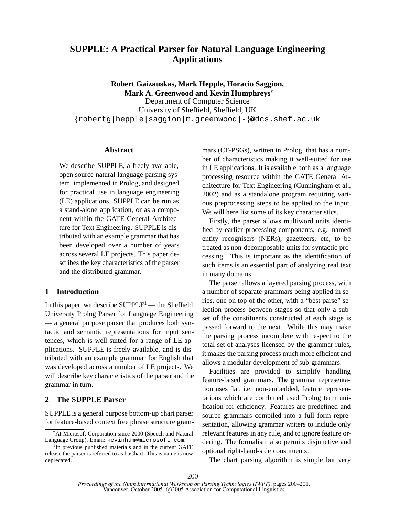# **SUPPLE: A Practical Parser for Natural Language Engineering Applications**

**Robert Gaizauskas, Mark Hepple, Horacio Saggion, Mark A. Greenwood and Kevin Humphreys**<sup>∗</sup> Department of Computer Science University of Sheffield, Sheffield, UK *{*robertg|hepple|saggion|m.greenwood|-*}*@dcs.shef.ac.uk

## **Abstract**

We describe SUPPLE, a freely-available, open source natural language parsing system, implemented in Prolog, and designed for practical use in language engineering (LE) applications. SUPPLE can be run as a stand-alone application, or as a component within the GATE General Architecture for Text Engineering. SUPPLE is distributed with an example grammar that has been developed over a number of years across several LE projects. This paper describes the key characteristics of the parser and the distributed grammar.

# **1 Introduction**

In this paper we describe  $\text{SUPPLE}^1$  — the Sheffield University Prolog Parser for Language Engineering — a general purpose parser that produces both syntactic and semantic representations for input sentences, which is well-suited for a range of LE applications. SUPPLE is freely available, and is distributed with an example grammar for English that was developed across a number of LE projects. We will describe key characteristics of the parser and the grammar in turn.

## **2 The SUPPLE Parser**

SUPPLE is a general purpose bottom-up chart parser for feature-based context free phrase structure grammars (CF-PSGs), written in Prolog, that has a number of characteristics making it well-suited for use in LE applications. It is available both as a language processing resource within the GATE General Architecture for Text Engineering (Cunningham et al., 2002) and as a standalone program requiring various preprocessing steps to be applied to the input. We will here list some of its key characteristics.

Firstly, the parser allows multiword units identified by earlier processing components, e.g. named entity recognisers (NERs), gazetteers, etc, to be treated as non-decomposable units for syntactic processing. This is important as the identification of such items is an essential part of analyzing real text in many domains.

The parser allows a layered parsing process, with a number of separate grammars being applied in series, one on top of the other, with a "best parse" selection process between stages so that only a subset of the constituents constructed at each stage is passed forward to the next. While this may make the parsing process incomplete with respect to the total set of analyses licensed by the grammar rules, it makes the parsing process much more efficient and allows a modular development of sub-grammars.

Facilities are provided to simplify handling feature-based grammars. The grammar representation uses flat, i.e. non-embedded, feature representations which are combined used Prolog term unification for efficiency. Features are predefined and source grammars compiled into a full form representation, allowing grammar writers to include only relevant features in any rule, and to ignore feature ordering. The formalism also permits disjunctive and optional right-hand-side constituents.

The chart parsing algorithm is simple but very

<sup>∗</sup>At Microsoft Corporation since 2000 (Speech and Natural Language Group). Email: kevinhum@microsoft.com.

<sup>&</sup>lt;sup>1</sup>In previous published materials and in the current GATE release the parser is referred to as buChart. This is name is now deprecated.